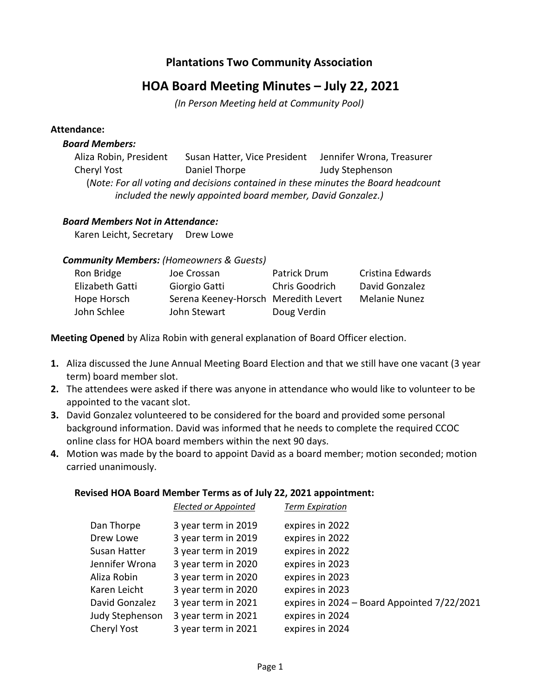# **Plantations Two Community Association**

# **HOA Board Meeting Minutes – July 22, 2021**

*(In Person Meeting held at Community Pool)*

#### **Attendance:**

#### *Board Members:*

Aliza Robin, President Susan Hatter, Vice President Jennifer Wrona, Treasurer Cheryl Yost Daniel Thorpe Judy Stephenson (*Note: For all voting and decisions contained in these minutes the Board headcount included the newly appointed board member, David Gonzalez.)*

#### *Board Members Not in Attendance:*

Karen Leicht, Secretary Drew Lowe

#### *Community Members: (Homeowners & Guests)*

| Ron Bridge      | Joe Crossan                          | Patrick Drum          | Cristina Edwards     |
|-----------------|--------------------------------------|-----------------------|----------------------|
| Elizabeth Gatti | Giorgio Gatti                        | <b>Chris Goodrich</b> | David Gonzalez       |
| Hope Horsch     | Serena Keeney-Horsch Meredith Levert |                       | <b>Melanie Nunez</b> |
| John Schlee     | John Stewart                         | Doug Verdin           |                      |

**Meeting Opened** by Aliza Robin with general explanation of Board Officer election.

- **1.** Aliza discussed the June Annual Meeting Board Election and that we still have one vacant (3 year term) board member slot.
- **2.** The attendees were asked if there was anyone in attendance who would like to volunteer to be appointed to the vacant slot.
- **3.** David Gonzalez volunteered to be considered for the board and provided some personal background information. David was informed that he needs to complete the required CCOC online class for HOA board members within the next 90 days.
- **4.** Motion was made by the board to appoint David as a board member; motion seconded; motion carried unanimously.

#### **Revised HOA Board Member Terms as of July 22, 2021 appointment:**

|                 | <b>Elected or Appointed</b> | <b>Term Expiration</b>                      |
|-----------------|-----------------------------|---------------------------------------------|
| Dan Thorpe      | 3 year term in 2019         | expires in 2022                             |
| Drew Lowe       | 3 year term in 2019         | expires in 2022                             |
| Susan Hatter    | 3 year term in 2019         | expires in 2022                             |
| Jennifer Wrona  | 3 year term in 2020         | expires in 2023                             |
| Aliza Robin     | 3 year term in 2020         | expires in 2023                             |
| Karen Leicht    | 3 year term in 2020         | expires in 2023                             |
| David Gonzalez  | 3 year term in 2021         | expires in 2024 - Board Appointed 7/22/2021 |
| Judy Stephenson | 3 year term in 2021         | expires in 2024                             |
| Cheryl Yost     | 3 year term in 2021         | expires in 2024                             |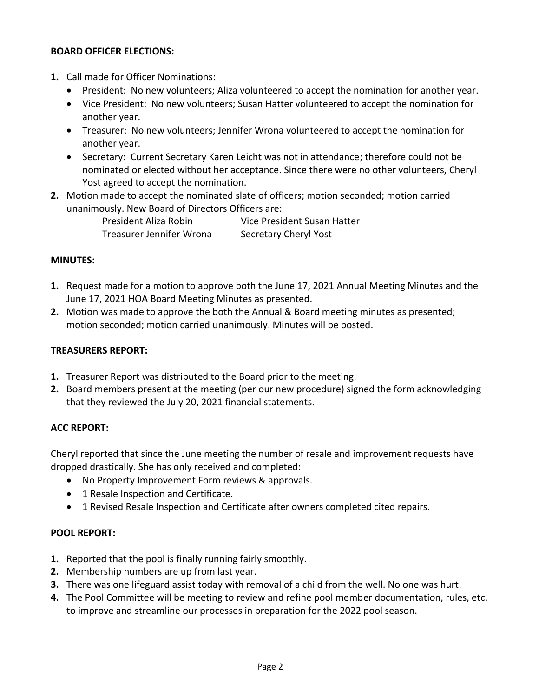### **BOARD OFFICER ELECTIONS:**

- **1.** Call made for Officer Nominations:
	- President: No new volunteers; Aliza volunteered to accept the nomination for another year.
	- Vice President: No new volunteers; Susan Hatter volunteered to accept the nomination for another year.
	- Treasurer: No new volunteers; Jennifer Wrona volunteered to accept the nomination for another year.
	- Secretary: Current Secretary Karen Leicht was not in attendance; therefore could not be nominated or elected without her acceptance. Since there were no other volunteers, Cheryl Yost agreed to accept the nomination.
- **2.** Motion made to accept the nominated slate of officers; motion seconded; motion carried unanimously. New Board of Directors Officers are:

President Aliza Robin Vice President Susan Hatter Treasurer Jennifer Wrona Secretary Cheryl Yost

#### **MINUTES:**

- **1.** Request made for a motion to approve both the June 17, 2021 Annual Meeting Minutes and the June 17, 2021 HOA Board Meeting Minutes as presented.
- **2.** Motion was made to approve the both the Annual & Board meeting minutes as presented; motion seconded; motion carried unanimously. Minutes will be posted.

#### **TREASURERS REPORT:**

- **1.** Treasurer Report was distributed to the Board prior to the meeting.
- **2.** Board members present at the meeting (per our new procedure) signed the form acknowledging that they reviewed the July 20, 2021 financial statements.

#### **ACC REPORT:**

Cheryl reported that since the June meeting the number of resale and improvement requests have dropped drastically. She has only received and completed:

- No Property Improvement Form reviews & approvals.
- 1 Resale Inspection and Certificate.
- 1 Revised Resale Inspection and Certificate after owners completed cited repairs.

#### **POOL REPORT:**

- **1.** Reported that the pool is finally running fairly smoothly.
- **2.** Membership numbers are up from last year.
- **3.** There was one lifeguard assist today with removal of a child from the well. No one was hurt.
- **4.** The Pool Committee will be meeting to review and refine pool member documentation, rules, etc. to improve and streamline our processes in preparation for the 2022 pool season.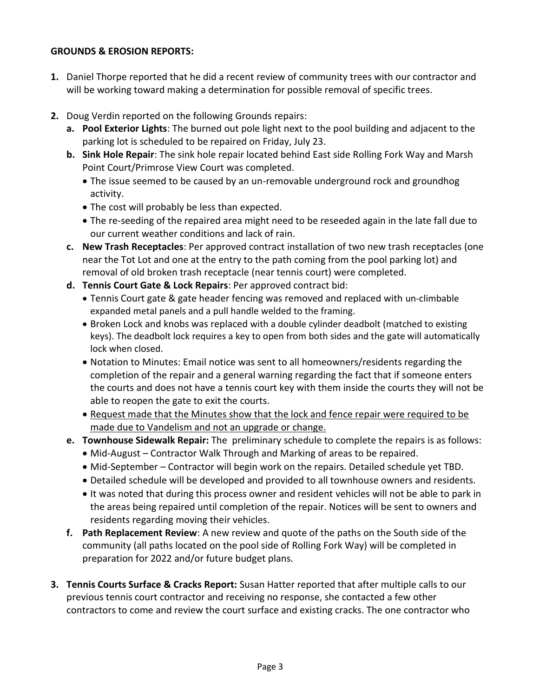### **GROUNDS & EROSION REPORTS:**

- **1.** Daniel Thorpe reported that he did a recent review of community trees with our contractor and will be working toward making a determination for possible removal of specific trees.
- **2.** Doug Verdin reported on the following Grounds repairs:
	- **a. Pool Exterior Lights**: The burned out pole light next to the pool building and adjacent to the parking lot is scheduled to be repaired on Friday, July 23.
	- **b. Sink Hole Repair**: The sink hole repair located behind East side Rolling Fork Way and Marsh Point Court/Primrose View Court was completed.
		- The issue seemed to be caused by an un-removable underground rock and groundhog activity.
		- The cost will probably be less than expected.
		- The re-seeding of the repaired area might need to be reseeded again in the late fall due to our current weather conditions and lack of rain.
	- **c. New Trash Receptacles**: Per approved contract installation of two new trash receptacles (one near the Tot Lot and one at the entry to the path coming from the pool parking lot) and removal of old broken trash receptacle (near tennis court) were completed.
	- **d. Tennis Court Gate & Lock Repairs**: Per approved contract bid:
		- Tennis Court gate & gate header fencing was removed and replaced with un-climbable expanded metal panels and a pull handle welded to the framing.
		- Broken Lock and knobs was replaced with a double cylinder deadbolt (matched to existing keys). The deadbolt lock requires a key to open from both sides and the gate will automatically lock when closed.
		- Notation to Minutes: Email notice was sent to all homeowners/residents regarding the completion of the repair and a general warning regarding the fact that if someone enters the courts and does not have a tennis court key with them inside the courts they will not be able to reopen the gate to exit the courts.
		- Request made that the Minutes show that the lock and fence repair were required to be made due to Vandelism and not an upgrade or change.
	- **e. Townhouse Sidewalk Repair:** The preliminary schedule to complete the repairs is as follows:
		- Mid-August Contractor Walk Through and Marking of areas to be repaired.
		- Mid-September Contractor will begin work on the repairs. Detailed schedule yet TBD.
		- Detailed schedule will be developed and provided to all townhouse owners and residents.
		- It was noted that during this process owner and resident vehicles will not be able to park in the areas being repaired until completion of the repair. Notices will be sent to owners and residents regarding moving their vehicles.
	- **f. Path Replacement Review**: A new review and quote of the paths on the South side of the community (all paths located on the pool side of Rolling Fork Way) will be completed in preparation for 2022 and/or future budget plans.
- **3. Tennis Courts Surface & Cracks Report:** Susan Hatter reported that after multiple calls to our previous tennis court contractor and receiving no response, she contacted a few other contractors to come and review the court surface and existing cracks. The one contractor who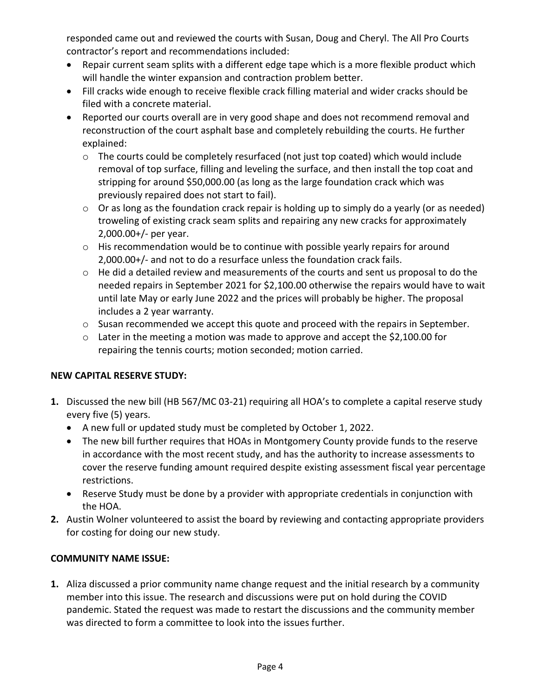responded came out and reviewed the courts with Susan, Doug and Cheryl. The All Pro Courts contractor's report and recommendations included:

- Repair current seam splits with a different edge tape which is a more flexible product which will handle the winter expansion and contraction problem better.
- Fill cracks wide enough to receive flexible crack filling material and wider cracks should be filed with a concrete material.
- Reported our courts overall are in very good shape and does not recommend removal and reconstruction of the court asphalt base and completely rebuilding the courts. He further explained:
	- $\circ$  The courts could be completely resurfaced (not just top coated) which would include removal of top surface, filling and leveling the surface, and then install the top coat and stripping for around \$50,000.00 (as long as the large foundation crack which was previously repaired does not start to fail).
	- $\circ$  Or as long as the foundation crack repair is holding up to simply do a yearly (or as needed) troweling of existing crack seam splits and repairing any new cracks for approximately 2,000.00+/- per year.
	- o His recommendation would be to continue with possible yearly repairs for around 2,000.00+/- and not to do a resurface unless the foundation crack fails.
	- $\circ$  He did a detailed review and measurements of the courts and sent us proposal to do the needed repairs in September 2021 for \$2,100.00 otherwise the repairs would have to wait until late May or early June 2022 and the prices will probably be higher. The proposal includes a 2 year warranty.
	- o Susan recommended we accept this quote and proceed with the repairs in September.
	- o Later in the meeting a motion was made to approve and accept the \$2,100.00 for repairing the tennis courts; motion seconded; motion carried.

# **NEW CAPITAL RESERVE STUDY:**

- **1.** Discussed the new bill (HB 567/MC 03-21) requiring all HOA's to complete a capital reserve study every five (5) years.
	- A new full or updated study must be completed by October 1, 2022.
	- The new bill further requires that HOAs in Montgomery County provide funds to the reserve in accordance with the most recent study, and has the authority to increase assessments to cover the reserve funding amount required despite existing assessment fiscal year percentage restrictions.
	- Reserve Study must be done by a provider with appropriate credentials in conjunction with the HOA.
- **2.** Austin Wolner volunteered to assist the board by reviewing and contacting appropriate providers for costing for doing our new study.

# **COMMUNITY NAME ISSUE:**

**1.** Aliza discussed a prior community name change request and the initial research by a community member into this issue. The research and discussions were put on hold during the COVID pandemic. Stated the request was made to restart the discussions and the community member was directed to form a committee to look into the issues further.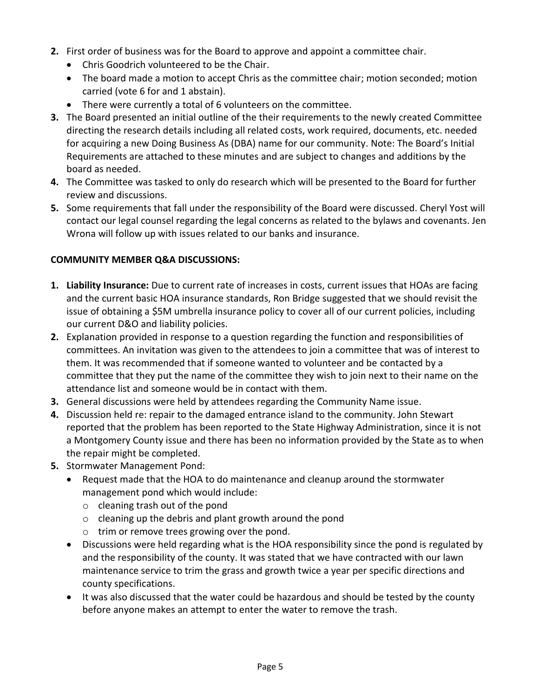- **2.** First order of business was for the Board to approve and appoint a committee chair.
	- Chris Goodrich volunteered to be the Chair.
	- The board made a motion to accept Chris as the committee chair; motion seconded; motion carried (vote 6 for and 1 abstain).
	- There were currently a total of 6 volunteers on the committee.
- **3.** The Board presented an initial outline of the their requirements to the newly created Committee directing the research details including all related costs, work required, documents, etc. needed for acquiring a new Doing Business As (DBA) name for our community. Note: The Board's Initial Requirements are attached to these minutes and are subject to changes and additions by the board as needed.
- **4.** The Committee was tasked to only do research which will be presented to the Board for further review and discussions.
- **5.** Some requirements that fall under the responsibility of the Board were discussed. Cheryl Yost will contact our legal counsel regarding the legal concerns as related to the bylaws and covenants. Jen Wrona will follow up with issues related to our banks and insurance.

## **COMMUNITY MEMBER Q&A DISCUSSIONS:**

- **1. Liability Insurance:** Due to current rate of increases in costs, current issues that HOAs are facing and the current basic HOA insurance standards, Ron Bridge suggested that we should revisit the issue of obtaining a \$5M umbrella insurance policy to cover all of our current policies, including our current D&O and liability policies.
- **2.** Explanation provided in response to a question regarding the function and responsibilities of committees. An invitation was given to the attendees to join a committee that was of interest to them. It was recommended that if someone wanted to volunteer and be contacted by a committee that they put the name of the committee they wish to join next to their name on the attendance list and someone would be in contact with them.
- **3.** General discussions were held by attendees regarding the Community Name issue.
- **4.** Discussion held re: repair to the damaged entrance island to the community. John Stewart reported that the problem has been reported to the State Highway Administration, since it is not a Montgomery County issue and there has been no information provided by the State as to when the repair might be completed.
- **5.** Stormwater Management Pond:
	- Request made that the HOA to do maintenance and cleanup around the stormwater management pond which would include:
		- o cleaning trash out of the pond
		- o cleaning up the debris and plant growth around the pond
		- o trim or remove trees growing over the pond.
	- Discussions were held regarding what is the HOA responsibility since the pond is regulated by and the responsibility of the county. It was stated that we have contracted with our lawn maintenance service to trim the grass and growth twice a year per specific directions and county specifications.
	- It was also discussed that the water could be hazardous and should be tested by the county before anyone makes an attempt to enter the water to remove the trash.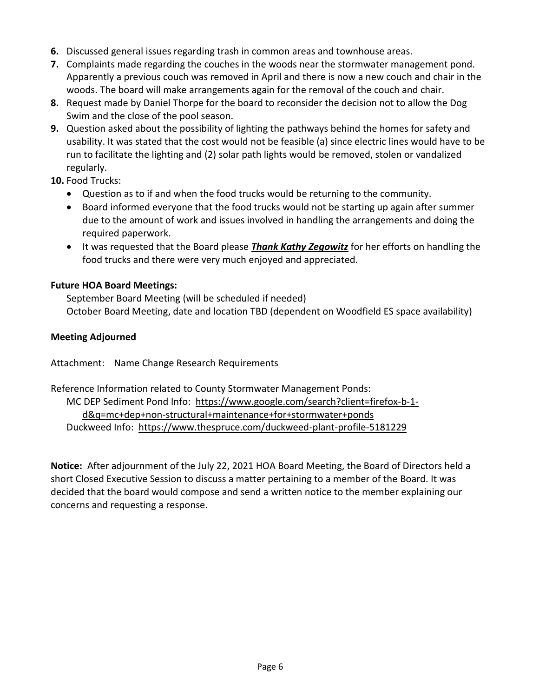- **6.** Discussed general issues regarding trash in common areas and townhouse areas.
- **7.** Complaints made regarding the couches in the woods near the stormwater management pond. Apparently a previous couch was removed in April and there is now a new couch and chair in the woods. The board will make arrangements again for the removal of the couch and chair.
- **8.** Request made by Daniel Thorpe for the board to reconsider the decision not to allow the Dog Swim and the close of the pool season.
- **9.** Question asked about the possibility of lighting the pathways behind the homes for safety and usability. It was stated that the cost would not be feasible (a) since electric lines would have to be run to facilitate the lighting and (2) solar path lights would be removed, stolen or vandalized regularly.
- **10.** Food Trucks:
	- Question as to if and when the food trucks would be returning to the community.
	- Board informed everyone that the food trucks would not be starting up again after summer due to the amount of work and issues involved in handling the arrangements and doing the required paperwork.
	- It was requested that the Board please *Thank Kathy Zegowitz* for her efforts on handling the food trucks and there were very much enjoyed and appreciated.

## **Future HOA Board Meetings:**

September Board Meeting (will be scheduled if needed) October Board Meeting, date and location TBD (dependent on Woodfield ES space availability)

## **Meeting Adjourned**

Attachment: Name Change Research Requirements

Reference Information related to County Stormwater Management Ponds: MC DEP Sediment Pond Info: [https://www.google.com/search?client=firefox-b-1](https://www.google.com/search?client=firefox-b-1-d&q=mc+dep+non-) [d&q=mc+dep+non-s](https://www.google.com/search?client=firefox-b-1-d&q=mc+dep+non-)tructural+maintenance+for+stormwater+ponds Duckweed Info: <https://www.thespruce.com/duckweed-plant-profile-5181229>

**Notice:** After adjournment of the July 22, 2021 HOA Board Meeting, the Board of Directors held a short Closed Executive Session to discuss a matter pertaining to a member of the Board. It was decided that the board would compose and send a written notice to the member explaining our concerns and requesting a response.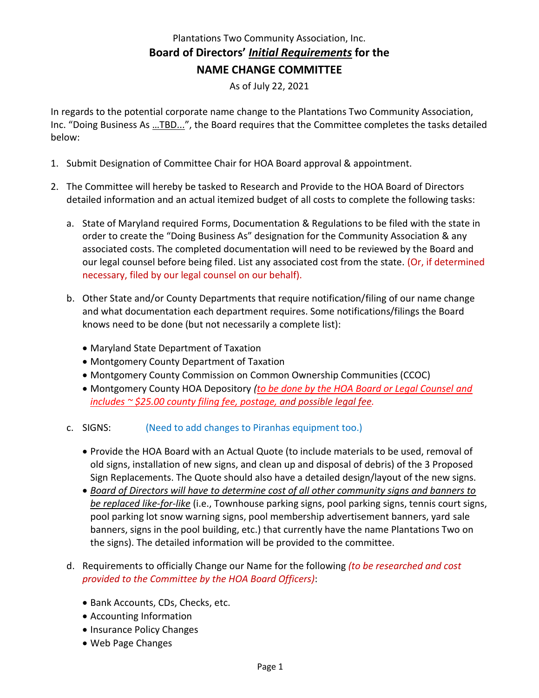# Plantations Two Community Association, Inc. **Board of Directors'** *Initial Requirements* **for the NAME CHANGE COMMITTEE**

As of July 22, 2021

In regards to the potential corporate name change to the Plantations Two Community Association, Inc. "Doing Business As …TBD...", the Board requires that the Committee completes the tasks detailed below:

- 1. Submit Designation of Committee Chair for HOA Board approval & appointment.
- 2. The Committee will hereby be tasked to Research and Provide to the HOA Board of Directors detailed information and an actual itemized budget of all costs to complete the following tasks:
	- a. State of Maryland required Forms, Documentation & Regulations to be filed with the state in order to create the "Doing Business As" designation for the Community Association & any associated costs. The completed documentation will need to be reviewed by the Board and our legal counsel before being filed. List any associated cost from the state. (Or, if determined necessary, filed by our legal counsel on our behalf).
	- b. Other State and/or County Departments that require notification/filing of our name change and what documentation each department requires. Some notifications/filings the Board knows need to be done (but not necessarily a complete list):
		- Maryland State Department of Taxation
		- Montgomery County Department of Taxation
		- Montgomery County Commission on Common Ownership Communities (CCOC)
		- Montgomery County HOA Depository *(to be done by the HOA Board or Legal Counsel and includes ~ \$25.00 county filing fee, postage, and possible legal fee.*

#### c. SIGNS: (Need to add changes to Piranhas equipment too.)

- Provide the HOA Board with an Actual Quote (to include materials to be used, removal of old signs, installation of new signs, and clean up and disposal of debris) of the 3 Proposed Sign Replacements. The Quote should also have a detailed design/layout of the new signs.
- *Board of Directors will have to determine cost of all other community signs and banners to be replaced like-for-like* (i.e., Townhouse parking signs, pool parking signs, tennis court signs, pool parking lot snow warning signs, pool membership advertisement banners, yard sale banners, signs in the pool building, etc.) that currently have the name Plantations Two on the signs). The detailed information will be provided to the committee.
- d. Requirements to officially Change our Name for the following *(to be researched and cost provided to the Committee by the HOA Board Officers)*:
	- Bank Accounts, CDs, Checks, etc.
	- Accounting Information
	- Insurance Policy Changes
	- Web Page Changes